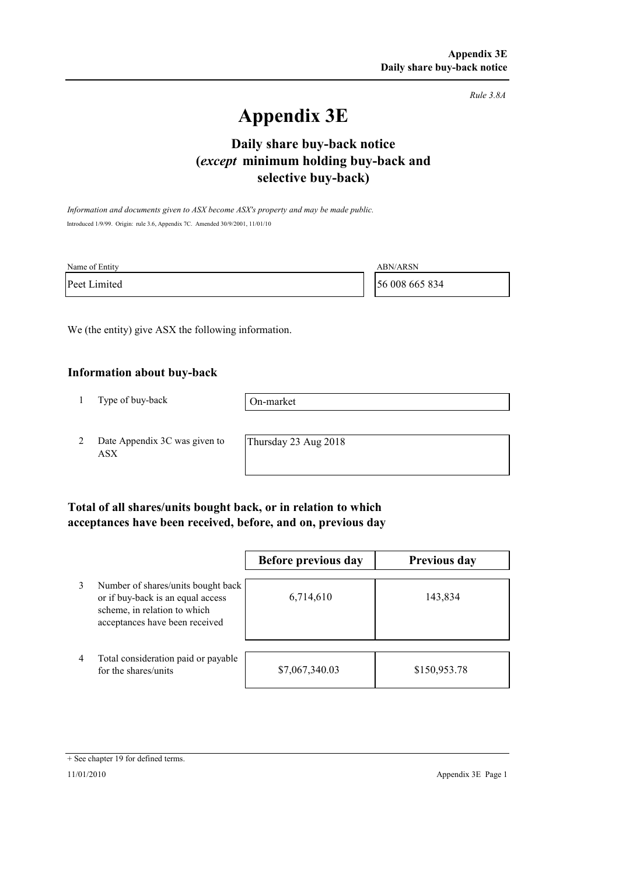*Rule 3.8A*

# **Appendix 3E**

## **selective buy-back) Daily share buy-back notice (***except* **minimum holding buy-back and**

*Information and documents given to ASX become ASX's property and may be made public.* Introduced 1/9/99. Origin: rule 3.6, Appendix 7C. Amended 30/9/2001, 11/01/10

| Name of Entity | <b>ABN/ARSN</b> |
|----------------|-----------------|
| Peet Limited   | 56 008 665 834  |

We (the entity) give ASX the following information.

#### **Information about buy-back**

1 Type of buy-back

On-market

2 Date Appendix 3C was given to ASX

Thursday 23 Aug 2018

### **Total of all shares/units bought back, or in relation to which acceptances have been received, before, and on, previous day**

|                |                                                                                                                                           | Before previous day | <b>Previous day</b> |
|----------------|-------------------------------------------------------------------------------------------------------------------------------------------|---------------------|---------------------|
| 3              | Number of shares/units bought back<br>or if buy-back is an equal access<br>scheme, in relation to which<br>acceptances have been received | 6,714,610           | 143,834             |
| $\overline{4}$ | Total consideration paid or payable<br>for the shares/units                                                                               | \$7,067,340.03      | \$150,953.78        |

<sup>+</sup> See chapter 19 for defined terms.